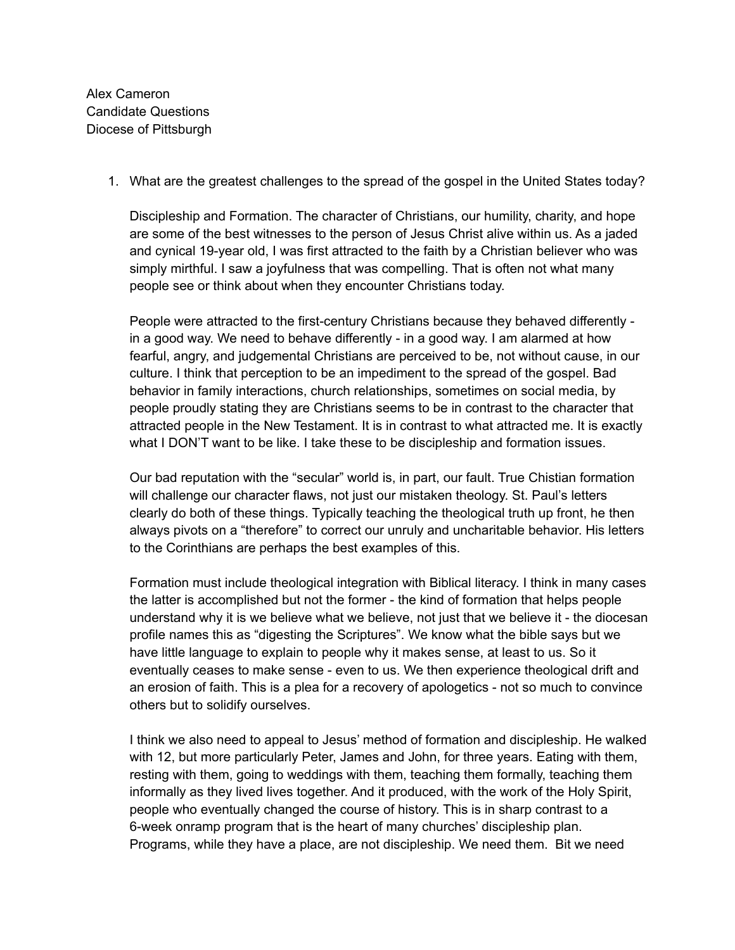Alex Cameron Candidate Questions Diocese of Pittsburgh

1. What are the greatest challenges to the spread of the gospel in the United States today?

Discipleship and Formation. The character of Christians, our humility, charity, and hope are some of the best witnesses to the person of Jesus Christ alive within us. As a jaded and cynical 19-year old, I was first attracted to the faith by a Christian believer who was simply mirthful. I saw a joyfulness that was compelling. That is often not what many people see or think about when they encounter Christians today.

People were attracted to the first-century Christians because they behaved differently in a good way. We need to behave differently - in a good way. I am alarmed at how fearful, angry, and judgemental Christians are perceived to be, not without cause, in our culture. I think that perception to be an impediment to the spread of the gospel. Bad behavior in family interactions, church relationships, sometimes on social media, by people proudly stating they are Christians seems to be in contrast to the character that attracted people in the New Testament. It is in contrast to what attracted me. It is exactly what I DON'T want to be like. I take these to be discipleship and formation issues.

Our bad reputation with the "secular" world is, in part, our fault. True Chistian formation will challenge our character flaws, not just our mistaken theology. St. Paul's letters clearly do both of these things. Typically teaching the theological truth up front, he then always pivots on a "therefore" to correct our unruly and uncharitable behavior. His letters to the Corinthians are perhaps the best examples of this.

Formation must include theological integration with Biblical literacy. I think in many cases the latter is accomplished but not the former - the kind of formation that helps people understand why it is we believe what we believe, not just that we believe it - the diocesan profile names this as "digesting the Scriptures". We know what the bible says but we have little language to explain to people why it makes sense, at least to us. So it eventually ceases to make sense - even to us. We then experience theological drift and an erosion of faith. This is a plea for a recovery of apologetics - not so much to convince others but to solidify ourselves.

I think we also need to appeal to Jesus' method of formation and discipleship. He walked with 12, but more particularly Peter, James and John, for three years. Eating with them, resting with them, going to weddings with them, teaching them formally, teaching them informally as they lived lives together. And it produced, with the work of the Holy Spirit, people who eventually changed the course of history. This is in sharp contrast to a 6-week onramp program that is the heart of many churches' discipleship plan. Programs, while they have a place, are not discipleship. We need them. Bit we need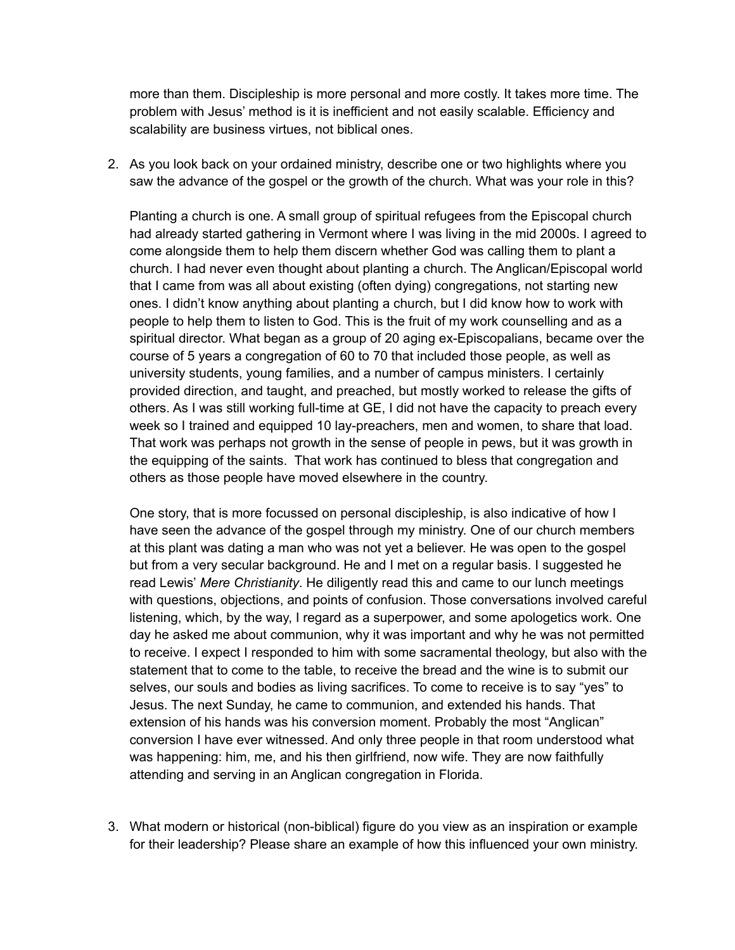more than them. Discipleship is more personal and more costly. It takes more time. The problem with Jesus' method is it is inefficient and not easily scalable. Efficiency and scalability are business virtues, not biblical ones.

2. As you look back on your ordained ministry, describe one or two highlights where you saw the advance of the gospel or the growth of the church. What was your role in this?

Planting a church is one. A small group of spiritual refugees from the Episcopal church had already started gathering in Vermont where I was living in the mid 2000s. I agreed to come alongside them to help them discern whether God was calling them to plant a church. I had never even thought about planting a church. The Anglican/Episcopal world that I came from was all about existing (often dying) congregations, not starting new ones. I didn't know anything about planting a church, but I did know how to work with people to help them to listen to God. This is the fruit of my work counselling and as a spiritual director. What began as a group of 20 aging ex-Episcopalians, became over the course of 5 years a congregation of 60 to 70 that included those people, as well as university students, young families, and a number of campus ministers. I certainly provided direction, and taught, and preached, but mostly worked to release the gifts of others. As I was still working full-time at GE, I did not have the capacity to preach every week so I trained and equipped 10 lay-preachers, men and women, to share that load. That work was perhaps not growth in the sense of people in pews, but it was growth in the equipping of the saints. That work has continued to bless that congregation and others as those people have moved elsewhere in the country.

One story, that is more focussed on personal discipleship, is also indicative of how I have seen the advance of the gospel through my ministry. One of our church members at this plant was dating a man who was not yet a believer. He was open to the gospel but from a very secular background. He and I met on a regular basis. I suggested he read Lewis' *Mere Christianity*. He diligently read this and came to our lunch meetings with questions, objections, and points of confusion. Those conversations involved careful listening, which, by the way, I regard as a superpower, and some apologetics work. One day he asked me about communion, why it was important and why he was not permitted to receive. I expect I responded to him with some sacramental theology, but also with the statement that to come to the table, to receive the bread and the wine is to submit our selves, our souls and bodies as living sacrifices. To come to receive is to say "yes" to Jesus. The next Sunday, he came to communion, and extended his hands. That extension of his hands was his conversion moment. Probably the most "Anglican" conversion I have ever witnessed. And only three people in that room understood what was happening: him, me, and his then girlfriend, now wife. They are now faithfully attending and serving in an Anglican congregation in Florida.

3. What modern or historical (non-biblical) figure do you view as an inspiration or example for their leadership? Please share an example of how this influenced your own ministry.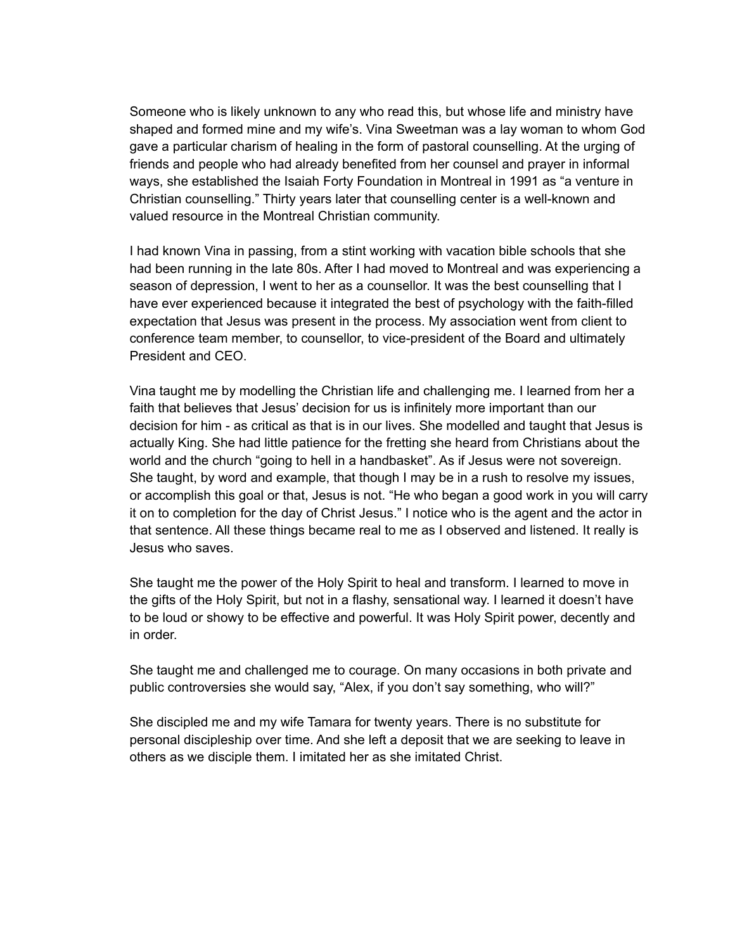Someone who is likely unknown to any who read this, but whose life and ministry have shaped and formed mine and my wife's. Vina Sweetman was a lay woman to whom God gave a particular charism of healing in the form of pastoral counselling. At the urging of friends and people who had already benefited from her counsel and prayer in informal ways, she established the Isaiah Forty Foundation in Montreal in 1991 as "a venture in Christian counselling." Thirty years later that counselling center is a well-known and valued resource in the Montreal Christian community.

I had known Vina in passing, from a stint working with vacation bible schools that she had been running in the late 80s. After I had moved to Montreal and was experiencing a season of depression, I went to her as a counsellor. It was the best counselling that I have ever experienced because it integrated the best of psychology with the faith-filled expectation that Jesus was present in the process. My association went from client to conference team member, to counsellor, to vice-president of the Board and ultimately President and CEO.

Vina taught me by modelling the Christian life and challenging me. I learned from her a faith that believes that Jesus' decision for us is infinitely more important than our decision for him - as critical as that is in our lives. She modelled and taught that Jesus is actually King. She had little patience for the fretting she heard from Christians about the world and the church "going to hell in a handbasket". As if Jesus were not sovereign. She taught, by word and example, that though I may be in a rush to resolve my issues, or accomplish this goal or that, Jesus is not. "He who began a good work in you will carry it on to completion for the day of Christ Jesus." I notice who is the agent and the actor in that sentence. All these things became real to me as I observed and listened. It really is Jesus who saves.

She taught me the power of the Holy Spirit to heal and transform. I learned to move in the gifts of the Holy Spirit, but not in a flashy, sensational way. I learned it doesn't have to be loud or showy to be effective and powerful. It was Holy Spirit power, decently and in order.

She taught me and challenged me to courage. On many occasions in both private and public controversies she would say, "Alex, if you don't say something, who will?"

She discipled me and my wife Tamara for twenty years. There is no substitute for personal discipleship over time. And she left a deposit that we are seeking to leave in others as we disciple them. I imitated her as she imitated Christ.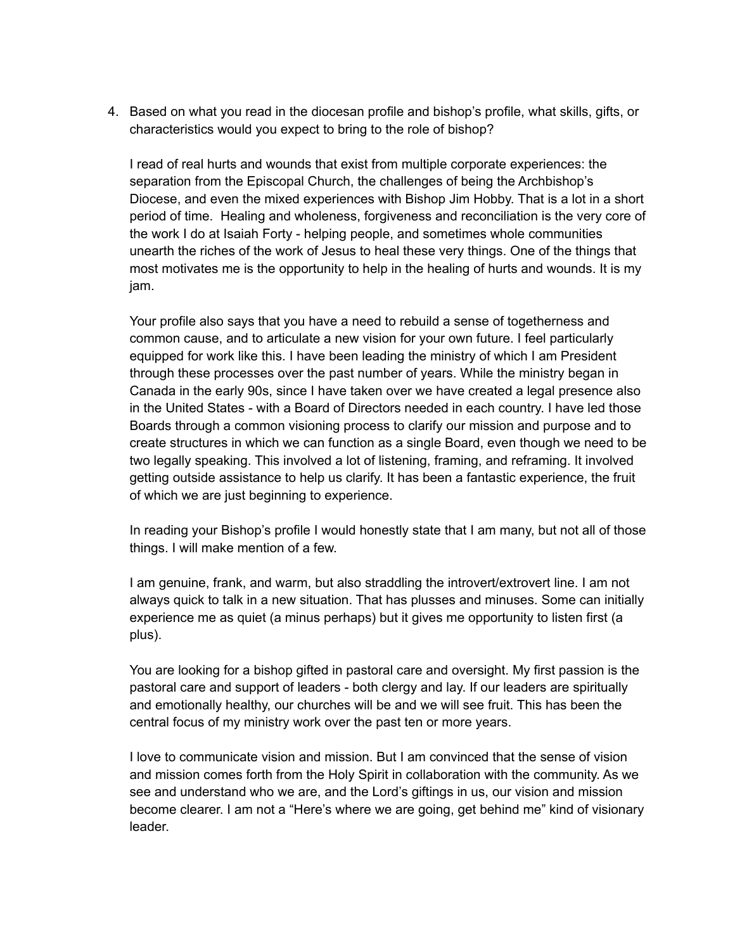4. Based on what you read in the diocesan profile and bishop's profile, what skills, gifts, or characteristics would you expect to bring to the role of bishop?

I read of real hurts and wounds that exist from multiple corporate experiences: the separation from the Episcopal Church, the challenges of being the Archbishop's Diocese, and even the mixed experiences with Bishop Jim Hobby. That is a lot in a short period of time. Healing and wholeness, forgiveness and reconciliation is the very core of the work I do at Isaiah Forty - helping people, and sometimes whole communities unearth the riches of the work of Jesus to heal these very things. One of the things that most motivates me is the opportunity to help in the healing of hurts and wounds. It is my jam.

Your profile also says that you have a need to rebuild a sense of togetherness and common cause, and to articulate a new vision for your own future. I feel particularly equipped for work like this. I have been leading the ministry of which I am President through these processes over the past number of years. While the ministry began in Canada in the early 90s, since I have taken over we have created a legal presence also in the United States - with a Board of Directors needed in each country. I have led those Boards through a common visioning process to clarify our mission and purpose and to create structures in which we can function as a single Board, even though we need to be two legally speaking. This involved a lot of listening, framing, and reframing. It involved getting outside assistance to help us clarify. It has been a fantastic experience, the fruit of which we are just beginning to experience.

In reading your Bishop's profile I would honestly state that I am many, but not all of those things. I will make mention of a few.

I am genuine, frank, and warm, but also straddling the introvert/extrovert line. I am not always quick to talk in a new situation. That has plusses and minuses. Some can initially experience me as quiet (a minus perhaps) but it gives me opportunity to listen first (a plus).

You are looking for a bishop gifted in pastoral care and oversight. My first passion is the pastoral care and support of leaders - both clergy and lay. If our leaders are spiritually and emotionally healthy, our churches will be and we will see fruit. This has been the central focus of my ministry work over the past ten or more years.

I love to communicate vision and mission. But I am convinced that the sense of vision and mission comes forth from the Holy Spirit in collaboration with the community. As we see and understand who we are, and the Lord's giftings in us, our vision and mission become clearer. I am not a "Here's where we are going, get behind me" kind of visionary leader.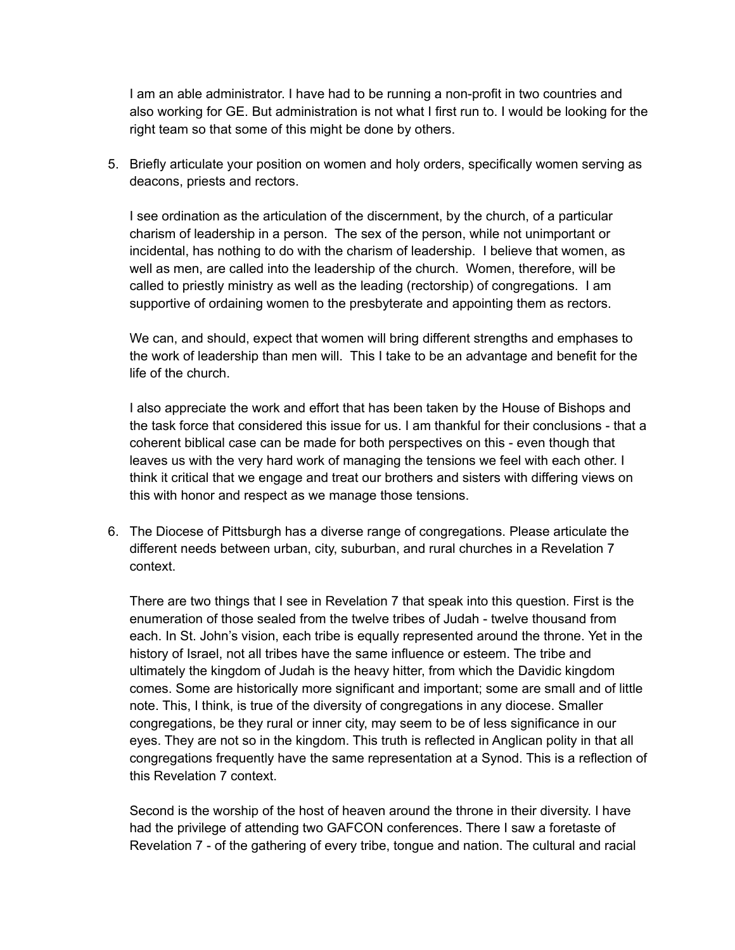I am an able administrator. I have had to be running a non-profit in two countries and also working for GE. But administration is not what I first run to. I would be looking for the right team so that some of this might be done by others.

5. Briefly articulate your position on women and holy orders, specifically women serving as deacons, priests and rectors.

I see ordination as the articulation of the discernment, by the church, of a particular charism of leadership in a person. The sex of the person, while not unimportant or incidental, has nothing to do with the charism of leadership. I believe that women, as well as men, are called into the leadership of the church. Women, therefore, will be called to priestly ministry as well as the leading (rectorship) of congregations. I am supportive of ordaining women to the presbyterate and appointing them as rectors.

We can, and should, expect that women will bring different strengths and emphases to the work of leadership than men will. This I take to be an advantage and benefit for the life of the church.

I also appreciate the work and effort that has been taken by the House of Bishops and the task force that considered this issue for us. I am thankful for their conclusions - that a coherent biblical case can be made for both perspectives on this - even though that leaves us with the very hard work of managing the tensions we feel with each other. I think it critical that we engage and treat our brothers and sisters with differing views on this with honor and respect as we manage those tensions.

6. The Diocese of Pittsburgh has a diverse range of congregations. Please articulate the different needs between urban, city, suburban, and rural churches in a Revelation 7 context.

There are two things that I see in Revelation 7 that speak into this question. First is the enumeration of those sealed from the twelve tribes of Judah - twelve thousand from each. In St. John's vision, each tribe is equally represented around the throne. Yet in the history of Israel, not all tribes have the same influence or esteem. The tribe and ultimately the kingdom of Judah is the heavy hitter, from which the Davidic kingdom comes. Some are historically more significant and important; some are small and of little note. This, I think, is true of the diversity of congregations in any diocese. Smaller congregations, be they rural or inner city, may seem to be of less significance in our eyes. They are not so in the kingdom. This truth is reflected in Anglican polity in that all congregations frequently have the same representation at a Synod. This is a reflection of this Revelation 7 context.

Second is the worship of the host of heaven around the throne in their diversity. I have had the privilege of attending two GAFCON conferences. There I saw a foretaste of Revelation 7 - of the gathering of every tribe, tongue and nation. The cultural and racial